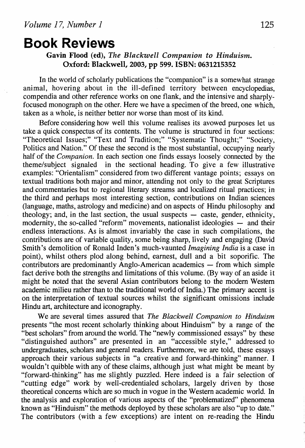# **Book Reviews**

## Gavin Flood (ed), *The Blackwell Companion to Hinduism.*  Oxford: Blackwell, 2003, pp 599. ISBN: 0631215352

In the world of scholarly publications the "companion" is a somewhat strange animal, hovering about in the ill-defined territory between encyclopedias, compendia and other reference works on one flank, and the intensive and sharplyfocused monograph on the other. Here we have a specimen of the breed, one which, taken as a whole, is neither better nor worse than most of its kind.

Before considering how well this volume realises its avowed purposes let us take a quick conspectus of its contents. The volume is structured in four sections: "Theoretical Issues;" "Text and Tradition;" "Systematic Thought;" "Society, Politics and Nation." Of these the second is the most substantial, occupying nearly half of the *Companion.* In each section one finds essays loosely connected by the theme/subject signaled in the sectional heading. To give a few illustrative examples: "Orientalism" considered from two different vantage points; essays on textual traditions both major and minor, attending not only to the great Scriptures and commentaries but to regional literary streams and localized ritual practices; in the third and perhaps most interesting section, contributions on Indian sciences (language, maths, astrology and medicine) and on aspects of Hindu philosophy and theology; and, in the last section, the usual suspects  $-$  caste, gender, ethnicity, modernity, the so-called "reform" movements, nationalist ideologies - and their endless interactions. As is almost invariably the case in such compilations, the contributions are of variable quality, some being sharp, lively and engaging (David Smith's demolition of Ronald Inden's much-vaunted *Imagining India* is a case in point), whilst others plod along behind, earnest, dull and a bit soporific. The  $\frac{1}{2}$  contributors are predominantly Anglo-American academics  $-$  from which simple fact derive both the strengths and limitations of this volume. (By way of an aside it might be noted that the several Asian contributors belong to the modem Western academic milieu rather than to the traditional world of India.) The primary accent is on the interpretation of textual sources whilst the significant omissions include Hindu art, architecture and iconography.

We are several times assured that *The Blackwell Companion to Hinduism*  presents "the most recent scholarly thinking about Hinduism" by a range of the "best scholars" from around the world. The "newly commissioned essays" by these "distinguished authors" are presented in an "accessible style," addressed to undergraduates, scholars and general readers. Furthermore, we are told, these essays approach their various subjects in "a creative and forward-thinking" manner. I wouldn't quibble with any of these claims, although just what might be meant by "forward-thinking" has me slightly puzzled. Here indeed is a fair selection of "cutting edge" work by well-credentialed scholars, largely driven by those theoretical concerns which are so much in vogue in the Western academic world. In the analysis and exploration of various aspects of the "problematized" phenomena known as "Hinduism" the methods deployed by these scholars are also "up to date." The contributors (with a few exceptions) are intent on re-reading the Hindu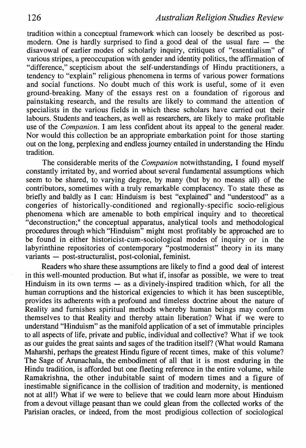tradition within a conceptual framework which can loosely be described as postmodern. One is hardly surprised to find a good deal of the usual fare  $-$  the disavowal of earlier modes of scholarly inquiry, critiques of "essentialism" of various stripes, a preoccupation with gender and identity politics, the affirmation of "difference," scepticism about the self-understandings of Hindu practitioners, a tendency to "explain" religious phenomena in terms of various power formations and social functions. No doubt much of this work is useful, some of it even ground-breaking. Many of the essays rest on a foundation of rigorous and painstaking research, and the results are likely to command the attention of specialists in the various fields in which these scholars have carried out their labours. Students and teachers, as well as researchers, are likely to make profitable use of the *Companion.* I am less confident about its appeal to the general reader. Nor would this collection be an appropriate embarkation point for those starting out on the long, perplexing and endless journey entailed in understanding the Hindu tradition.

The considerable merits of the *Companion* notwithstanding, I found myself constantly irritated by, and worried about several fundamental assumptions which seem to be shared, to varying degree, by many (but by no means all) of the contributors, sometimes with a truly remarkable complacency. To state these as briefly and baldly as I can: Hinduism is best "explained" and "understood" as a congeries of historically-conditioned and regionally-specific socio-religious phenomena which are amenable to both empirical inquiry and to theoretical "deconstruction;" the conceptual apparatus, analytical tools and methodological procedures through which "Hinduism" might most profitably be approached are to be found in either historicist-cum-sociological modes of inquiry or in the labyrinthine repositories of contemporary "postmodernist" theory in its many variants - post-structuralist, post-colonial, feminist.

Readers who share these assumptions are likely to find a good deal of interest in this well-mounted production. But what if, insofar as possible, we were to treat Hinduism in its own terms  $-$  as a divinely-inspired tradition which, for all the human corruptions and the historical exigencies to which it has been susceptible, provides its adherents with a profound and timeless doctrine about the nature of Reality and furnishes spiritual methods whereby human beings may conform themselves to that Reality and thereby attain liberation? What if we were to understand "Hinduism" as the manifold application of a set of immutable principles to all aspects of life, private and public, individual and collective? What if we took as our guides the great saints and sages of the tradition itself? (What would Ramana Maharshi, perhaps the greatest Hindu figure of recent times, make of this volume? The Sage of Arunachala, the embodiment of all that it is most enduring in the Hindu tradition, is afforded but one fleeting reference in the entire volume, while Ramakrishna, the other indubitable saint of modern times and a figure of inestimable significance in the collision of tradition and modernity, is mentioned not at all!) What if we were to believe that we could learn more about Hinduism from a devout village peasant than we could glean from the collected works of the Parisian oracles, or indeed, from the most prodigious collection of sociological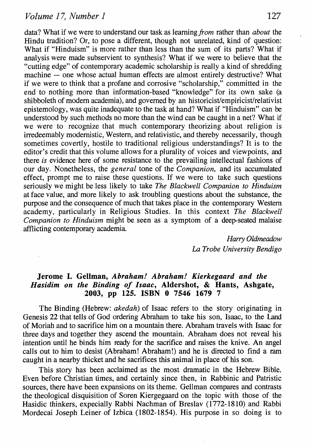data? What if we were to understand our task as learning *from* rather than *about* the Hindu tradition? Or, to pose a different, though not unrelated, kind of question: What if "Hinduism" is more rather than less than the sum of its parts? What if analysis were made subservient to synthesis? What if we were to believe that the "cutting edge" of contemporary academic scholarship is really a kind of shredding machine - one whose actual human effects are almost entirely destructive? What if we were to think that a profane and corrosive "scholarship," committed in the end to nothing more than information-based "knowledge" for its own sake (a shibboleth of modem academia), and governed by an historicist/empiricist/relativist epistemology, was quite inadequate to the task at hand? What if "Hinduism" can be understood by such methods no more than the wind can be caught in a net? What if we were to recognize that much contemporary theorizing about religion is irredeemably modernistic, Western, and relativistic, and thereby necessarily, though sometimes covertly, hostile to traditional religious understandings? It is to the editor's credit that this volume allows for a plurality of voices and viewpoints, and there *is* evidence here of some resistance to the prevailing intellectual fashions of our day. Nonetheless, the *general* tone of the *Companion,* and its accumulated effect, prompt me to raise these questions. If we were to take such questions seriously we might be less likely to take *The Blackwell Companion to Hinduism*  at face value, and more likely to ask troubling questions about the substance, the purpose and the consequence of much that takes place in the contemporary Western academy, particularly in Religious Studies. In this context *The Blackwell Companion to Hinduism* might be seen as a symptom of a deep-seated malaise afflicting contemporary academia.

> *Harry Oldmeadow*  La *Trobe University Bendigo*

#### Jerome I. Gellman, *Abraham! Abraham! Kierkegaard and the Hasidim on the Binding of Isaac,* Aldershot, & Hants, Ashgate, 2003, pp 125. ISBN 0 7546 1679 7

The Binding (Hebrew: *akedah)* of Isaac refers to the story originating in Genesis 22 that tells of God ordering Abraham to take his son, Isaac, to the Land of Moriah and to sacrifice him on a mountain there. Abraham travels with Isaac for three days and together they ascend the mountain. Abraham does not reveal his intention until he binds him ready for the sacrifice and raises the knive. An angel calls out to him to desist (Abraham! Abraham!) and he is directed to find a ram caught in a nearby thicket and he sacrifices this animal in place of his son.

This story has been acclaimed as the most dramatic in the Hebrew Bible. Even before Christian times, and certainly since then, in Rabbinic and Patristic sources, there have been expansions on its theme. Gellman compares and contrasts the theological disquisition of Soren Kiergegaard on the topic with those of the Hasidic thinkers, expecially Rabbi Nachman of Breslav (1772-1810) and Rabbi Mordecai Joseph Leiner of lzbica (1802-1854). His purpose in so doing is to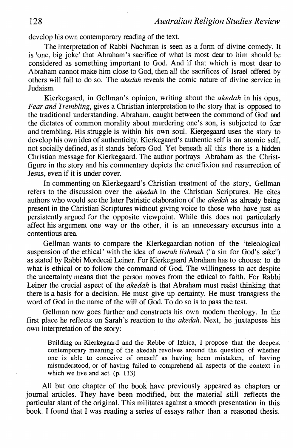develop his own contemporary reading of the text.

The interpretation of Rabbi Nachman is seen as a form of divine comedy. It is 'one, big joke' that Abraham's sacrifice of what is most dear to him should be considered as something important to God. And if that which is most dear to Abraham cannot make him close to God, then all the sacrifices of Israel offered by others will fail to do so. The *akedah* reveals the comic nature of divine service in Judaism.

Kierkegaard, in Gellman's opinion, writing about the *akedah* in his opus, *Fear and Trembling,* gives a Christian interpretation to the story that is opposed to the traditional understanding. Abraham, caught between the command of God and the dictates of common morality about murdering one's son, is subjected to fear and trembling. His struggle is within his own soul. Kiergegaard uses the story to develop his own idea of authenticity. Kierkegaard's authentic self is an atomic self, not socially defined, as it stands before God. Yet beneath all this there is a hidden Christian message for Kierkegaard. The author portrays Abraham as the Christfigure in the story and his commentary depicts the crucifixion and resurrection of Jesus, even if it is under cover.

In commenting on Kierkegaard's Christian treatment of the story, Gellman refers to the discussion over the *akedah* in the Christian Scriptures. He cites authors who would see the later Patristic elaboration of the *akedah* as already being present in the Christian Scriptures without giving voice to those who have just as persistently argued for the opposite viewpoint. While this does not particularly affect his argument one way or the other, it is an unnecessary excursus into a contentious area.

Gellman wants to compare the Kierkegaardian notion of the 'teleological suspension of the ethical' with the idea of *averah lishmah* ("a sin for God's sake") as stated by Rabbi Mordecai Leiner. For Kierkegaard Abraham has to choose: to do what is ethical or to follow the command of God. The willingness to act despite the uncertainty means that the person moves from the ethical to faith. For Rabbi Leiner the crucial aspect of the *akedah* is that Abraham must resist thinking that there is a basis for a decision. He must give up certainty. He must transgress the word of God in the name of the will of God. To do so is to pass the test.

Gellman now goes further and constructs his own modern theology. In the first place he reflects on Sarah's reaction to the *akedah.* Next, he juxtaposes his own interpretation of the story:

Building on Kierkegaard and the Rebbe of Izbica, I propose that the deepest contemporary meaning of the akedah revolves around the question of whether one is able to conceive of oneself as having been mistaken, of having misunderstood, or of having failed to comprehend all aspects of the context in which we live and act. (p. 113)

All but one chapter of the book have previously appeared as chapters or journal articles. They have been modified, but the material still reflects the particular slant of the original. This militates against a smooth presentation in this book. I found that I was reading a series of essays rather than a reasoned thesis.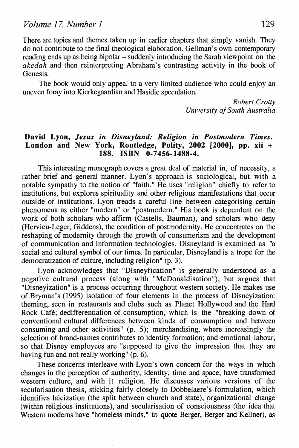There are topics and themes taken up in earlier chapters that simply vanish. They do not contribute to the final theological elaboration. Gellman's own contemporary reading ends up as being bipolar- suddenly introducing the Sarah viewpoint on the *akedah* and then reinterpreting Abraham's contrasting activity in the book of Genesis.

The book would only appeal to a very limited audience who could enjoy an uneven foray into Kierkegaardian and Hasidic speculation.

> *Robert Crotty University of South Australia*

### David Lyon, *Jesus in Disneyland: Religion in Postmodern Times.*  London and New York, Routledge, Polity, 2002 [2000], pp. xii + 188. ISBN 0-7456-1488-4.

This interesting monograph covers a great deal of material in, of necessity, a rather brief and general manner. Lyon's approach is sociological, but with a notable sympathy to the notion of "faith." He uses "religion" chiefly to refer to institutions, but explores spirituality and other religious manifestations that occur outside of institutions. Lyon treads a careful line between categorising certain phenomena as either "modern" or "postmodern." His book is dependent on the work of both scholars who affirm (Castells, Bauman), and scholars who deny (Hervieu-Leger, Giddens), the condition of postmodernity. He concentrates on the reshaping of modernity through the growth of consumerism and the development of communication and information technologies. Disneyland is examined as "a social and cultural symbol of our times. In particular, Disneyland is a trope for the democratization of culture, including religion" (p. 3).

Lyon acknowledges that "Disneyfication" is generally understood as a negative cultural process (along with "McDonaldisation"), but argues that "Disneyization" is a process occurring throughout western society. He makes use of Bryman's (1995) isolation of four elements in the process of Disneyization: theming, seen in restaurants and clubs such as Planet Hollywood and the Hard Rock Cafe; dedifferentiation of consumption, which is the "breaking down of conventional cultural differences between kinds of consumption and between consuming and other activities" (p. 5); merchandising, where increasingly the selection of brand-names contributes to identity formation; and emotional labour, so that Disney employees are "supposed to give the impression that they are having fun and not really working" (p. 6).

These concerns interleave with Lyon's own concern for the ways in which changes in the perception of authority, identity, time and space, have transformed western culture, and with it religion. He discusses various versions of the secularisation thesis, sticking fairly closely to Dobbelaere's formulation, which identifies laicization (the split between church and state), organizational change (within religious institutions), and secularisation of consciousness (the idea that Western modems have "homeless minds," to quote Berger, Berger and Kellner), as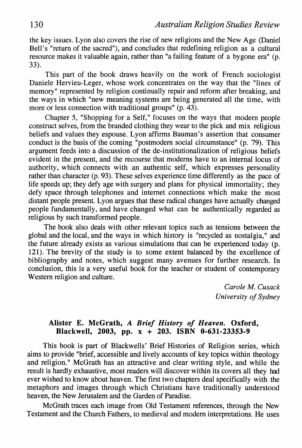the key issues. Lyon also covers the rise of new religions and the New Age (Daniel Bell's "return of the sacred"), and concludes that redefining religion as a cultural resource makes it valuable again, rather than "a failing feature of a bygone era" (p. 33).

This part of the book draws heavily on the work of French sociologist Daniele Hervieu-Leger, whose work concentrates on the way that the "lines of memory" represented by religion continually repair and reform after breaking, and the ways in which "new meaning systems are being generated all the time, with more or less connection with traditional groups" (p. 43).

Chapter *5,* "Shopping for a Self," focuses on the ways that modern people construct selves, from the branded clothing they wear to the pick and mix religious beliefs and values they espouse. Lyon affirms Bauman's assertion that consumer conduct is the basis of the coming "postmodem social circumstance" (p. 79). This argument feeds into a discussion of the de-institutionalization of religious beliefs evident in the present, and the recourse that moderns have to an internal locus of authority, which connects with an authentic self, which expresses personality rather than character (p. 93). These selves experience time differently as the pace of life speeds up; they defy age with surgery and plans for physical immortality; they defy space through telephones and internet connections which make the most distant people present. Lyon argues that these radical changes have actually changed people fundamentally, and have changed what can be authentically regarded as religious by such transformed people.

The book also deals with other relevant topics such as tensions between the global and the local, and the ways in which history is "recycled as nostalgia," and the future already exists as various simulations that can be experienced today (p. 121). The brevity of the study is to some extent balanced by the excellence of bibliography and notes, which suggest many avenues for further research. In conclusion, this is a very useful book for the teacher or student of contemporary Western religion and culture.

> *Carole M. Cusack University of Sydney*

## Alister E. McGrath, *A Brief History of Heaven.* Oxford, Blackwell, 2003, pp. x + 203. ISBN 0-631-23353-9

This book is part of Blackwells' Brief Histories of Religion series, which aims to provide "brief, accessible and lively accounts of key topics within theology and religion." McGrath has an attractive and clear writing style, and while the result is hardly exhaustive, most readers will discover within its covers all they had ever wished to know about heaven. The first two chapters deal specifically with the metaphors and images through which Christians have traditionally understood heaven, the New Jerusalem and the Garden of Paradise.

McGrath traces each image from Old Testament references, through the New Testament and the Church Fathers, to medieval and modern interpretations. He uses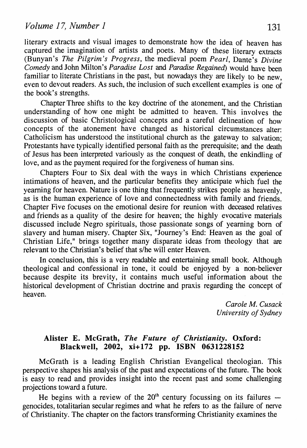literary extracts and visual images to demonstrate how the idea of heaven has captured the imagination of artists and poets. Many of these literary extracts (Bunyan's *The Pilgrim's Progress,* the medieval poem *Pearl,* Dante's *Divine Comedy* and John Milton's *Paradise Lost* and *Paradise Regained)* would have been familiar to literate Christians in the past, but nowadays they are likely to be new. even to devout readers. As such, the inclusion of such excellent examples is one of the book's strengths.

Chapter Three shifts to the key doctrine of the atonement, and the Christian understanding of how one might be admitted to heaven. This involves the discussion of basic Christological concepts and a careful delineation of how concepts of the atonement have changed as historical circumstances alter: Catholicism has understood the institutional church as the gateway to salvation; Protestants have typically identified personal faith as the prerequisite; and the death of Jesus has been interpreted variously as the conquest of death, the enkindling of love, and as the payment required for the forgiveness of human sins.

Chapters Four to Six deal with the ways in which Christians experience intimations of heaven, and the particular benefits they anticipate which fuel the yearning for heaven. Nature is one thing that frequently strikes people as heavenly, as is the human experience of Jove and connectedness with family and friends. Chapter Five focuses on the emotional desire for reunion with deceased relatives and friends as a quality of the desire for heaven; the highly evocative materials discussed include Negro spirituals, those passionate songs of yearning born of slavery and human misery. Chapter Six, "Journey's End: Heaven as the goal of Christian Life," brings together many disparate ideas from theology that are relevant to the Christian's belief that s/he will enter Heaven.

In conclusion, this is a very readable and entertaining small book. Although theological and confessional in tone, it could be enjoyed by a non-believer because despite its brevity, it contains much useful information about the historical development of Christian doctrine and praxis regarding the concept of heaven.

> *Carole M. Cusack University of Sydney*

### **Alister E. McGrath,** *The Future of Christianity.* **Oxford: Blackwell, 2002, xi+ 172 pp. ISBN 0631228152**

McGrath is a leading English Christian Evangelical theologian. This perspective shapes his analysis of the past and expectations of the future. The book is easy to read and provides insight into the recent past and some challenging projections toward a future.

He begins with a review of the  $20<sup>th</sup>$  century focussing on its failures  $$ genocides, totalitarian secular regimes and what he refers to as the failure of nerve of Christianity. The chapter on the factors transforming Christianity examines the